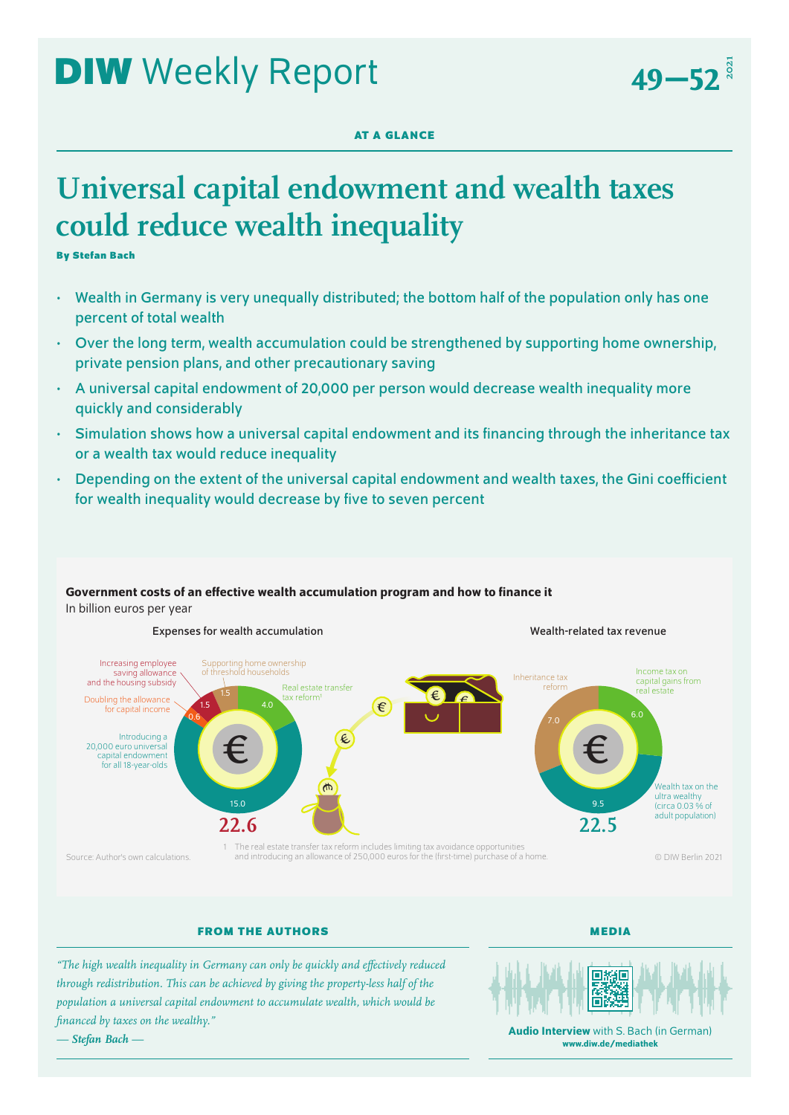49–52<sup>3</sup>

# **AT A GLANCE**

# **Universal capital endowment and wealth taxes could reduce wealth inequality**

**By Stefan Bach**

- Wealth in Germany is very unequally distributed; the bottom half of the population only has one percent of total wealth
- Over the long term, wealth accumulation could be strengthened by supporting home ownership, private pension plans, and other precautionary saving
- A universal capital endowment of 20,000 per person would decrease wealth inequality more quickly and considerably
- Simulation shows how a universal capital endowment and its financing through the inheritance tax or a wealth tax would reduce inequality
- Depending on the extent of the universal capital endowment and wealth taxes, the Gini coefficient for wealth inequality would decrease by five to seven percent



# Government costs of an effective wealth accumulation program and how to finance it In billion euros per year

**FROM THE AUTHORS**

**MEDIA**

*"The high wealth inequality in Germany can only be quickly and effectively reduced through redistribution. This can be achieved by giving the property-less half of the population a universal capital endowment to accumulate wealth, which would be financed by taxes on the wealthy." — Stefan Bach —*



**Audio Interview** with S. Bach (in German) [www.diw.de/mediathek](http://www.diw.de/mediathek)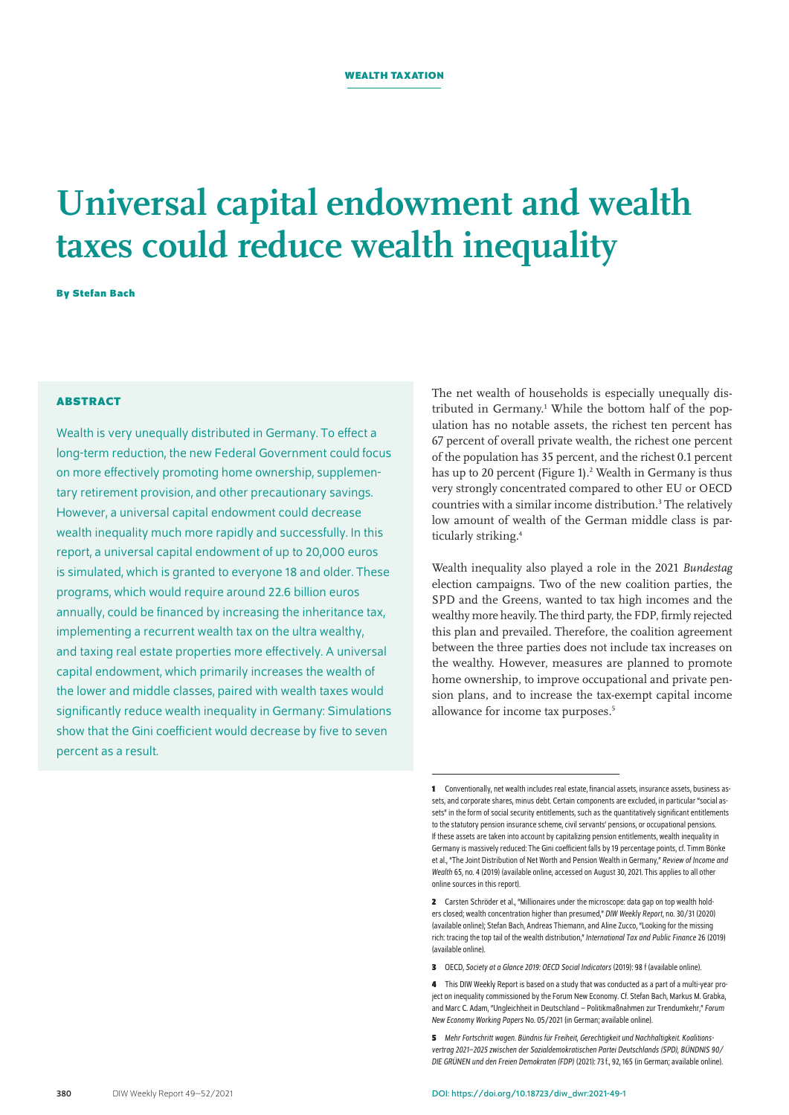# **Universal capital endowment and wealth taxes could reduce wealth inequality**

**By Stefan Bach**

# **ABSTRACT**

Wealth is very unequally distributed in Germany. To effect a long-term reduction, the new Federal Government could focus on more effectively promoting home ownership, supplementary retirement provision, and other precautionary savings. However, a universal capital endowment could decrease wealth inequality much more rapidly and successfully. In this report, a universal capital endowment of up to 20,000 euros is simulated, which is granted to everyone 18 and older. These programs, which would require around 22.6 billion euros annually, could be financed by increasing the inheritance tax, implementing a recurrent wealth tax on the ultra wealthy, and taxing real estate properties more effectively. A universal capital endowment, which primarily increases the wealth of the lower and middle classes, paired with wealth taxes would significantly reduce wealth inequality in Germany: Simulations show that the Gini coefficient would decrease by five to seven percent as a result.

The net wealth of households is especially unequally distributed in Germany.<sup>1</sup> While the bottom half of the population has no notable assets, the richest ten percent has 67 percent of overall private wealth, the richest one percent of the population has 35 percent, and the richest 0.1 percent has up to 20 percent (Figure 1).<sup>2</sup> Wealth in Germany is thus very strongly concentrated compared to other EU or OECD countries with a similar income distribution.<sup>3</sup> The relatively low amount of wealth of the German middle class is particularly striking.4

Wealth inequality also played a role in the 2021 *Bundestag* election campaigns. Two of the new coalition parties, the SPD and the Greens, wanted to tax high incomes and the wealthy more heavily. The third party, the FDP, firmly rejected this plan and prevailed. Therefore, the coalition agreement between the three parties does not include tax increases on the wealthy. However, measures are planned to promote home ownership, to improve occupational and private pension plans, and to increase the tax-exempt capital income allowance for income tax purposes.<sup>5</sup>

- **3** OECD, *Society at a Glance 2019: OECD Social Indicators* (2019): 98 f ([available online\)](https://www.oecd.org/social/society-at-a-glance-19991290.htm).
- **4** This DIW Weekly Report is based on a study that was conducted as a part of a multi-year project on inequality commissioned by the Forum New Economy. Cf. Stefan Bach, Markus M. Grabka, and Marc C. Adam, "Ungleichheit in Deutschland – Politikmaßnahmen zur Trendumkehr," *Forum New Economy Working Papers* No. 05/2021 (in German; [available online](https://newforum.org/wp-content/uploads/2021/12/FNE-WP05-2021.pdf%22)).
- **5** *Mehr Fortschritt wagen. Bündnis für Freiheit, Gerechtigkeit und Nachhaltigkeit. Koalitionsvertrag 2021–2025 zwischen der Sozialdemokratischen Partei Deutschlands (SPD), BÜNDNIS 90/ DIE GRÜNEN und den Freien Demokraten (FDP)* (2021): 73f., 92, 165 (in German; [available online](https://www.tagesschau.de/koalitionsvertrag-147.pdf%22)).

**<sup>1</sup>** Conventionally, net wealth includes real estate, financial assets, insurance assets, business assets, and corporate shares, minus debt. Certain components are excluded, in particular "social assets" in the form of social security entitlements, such as the quantitatively significant entitlements to the statutory pension insurance scheme, civil servants' pensions, or occupational pensions. If these assets are taken into account by capitalizing pension entitlements, wealth inequality in Germany is massively reduced: The Gini coefficient falls by 19 percentage points, cf. Timm Bönke etal., "The Joint Distribution of Net Worth and Pension Wealth in Germany," *Review of Income and Wealth* 65, no. 4 (2019) [\(available online](https://onlinelibrary.wiley.com/doi/epdf/10.1111/roiw.12371), accessed on August 30, 2021. This applies to all other online sources in this report).

**<sup>2</sup>** Carsten Schröder et al., "Millionaires under the microscope: data gap on top wealth holders closed; wealth concentration higher than presumed," *DIW Weekly Report*, no.30/31 (2020) ([available online\)](https://www.diw.de/de/diw_01.c.794215.de/publikationen/weekly_reports/2020_30_1/millionaires_under_the_microscope__data_gap_on_top_wealth_holders_closed__wealth_concentration_higher_than_presumed.html); Stefan Bach, Andreas Thiemann, and Aline Zucco, "Looking for the missing rich: tracing the top tail of the wealth distribution," *International Tax and Public Finance* 26 (2019) ([available online\)](https://link.springer.com/article/10.1007/s10797-019-09578-1).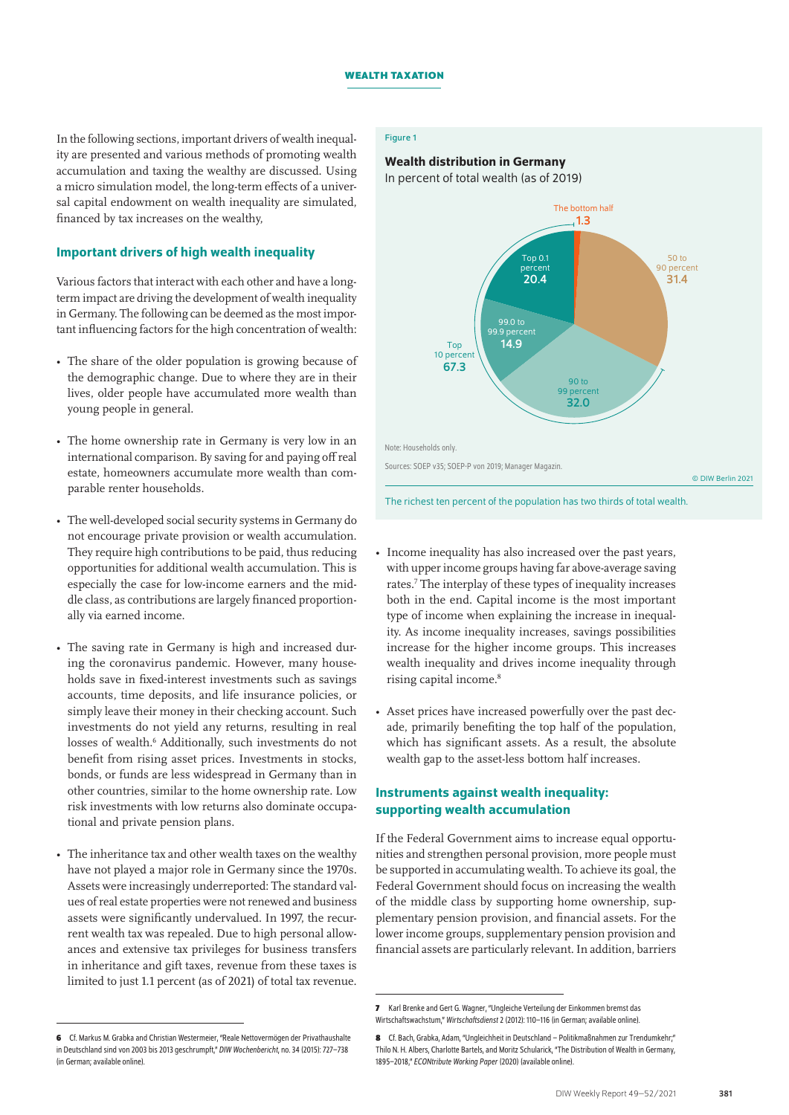Figure 1

# In the following sections, important drivers of wealth inequality are presented and various methods of promoting wealth accumulation and taxing the wealthy are discussed. Using a micro simulation model, the long-term effects of a universal capital endowment on wealth inequality are simulated, financed by tax increases on the wealthy,

# Important drivers of high wealth inequality

Various factors that interact with each other and have a longterm impact are driving the development of wealth inequality in Germany. The following can be deemed as the most important influencing factors for the high concentration of wealth:

- The share of the older population is growing because of the demographic change. Due to where they are in their lives, older people have accumulated more wealth than young people in general.
- The home ownership rate in Germany is very low in an international comparison. By saving for and paying off real estate, homeowners accumulate more wealth than comparable renter households.
- The well-developed social security systems in Germany do not encourage private provision or wealth accumulation. They require high contributions to be paid, thus reducing opportunities for additional wealth accumulation. This is especially the case for low-income earners and the middle class, as contributions are largely financed proportionally via earned income.
- The saving rate in Germany is high and increased during the coronavirus pandemic. However, many households save in fixed-interest investments such as savings accounts, time deposits, and life insurance policies, or simply leave their money in their checking account. Such investments do not yield any returns, resulting in real losses of wealth.<sup>6</sup> Additionally, such investments do not benefit from rising asset prices. Investments in stocks, bonds, or funds are less widespread in Germany than in other countries, similar to the home ownership rate. Low risk investments with low returns also dominate occupational and private pension plans.
- The inheritance tax and other wealth taxes on the wealthy have not played a major role in Germany since the 1970s. Assets were increasingly underreported: The standard values of real estate properties were not renewed and business assets were significantly undervalued. In 1997, the recurrent wealth tax was repealed. Due to high personal allowances and extensive tax privileges for business transfers in inheritance and gift taxes, revenue from these taxes is limited to just 1.1 percent (as of 2021) of total tax revenue.

### Wealth distribution in Germany

In percent of total wealth (as of 2019)



The richest ten percent of the population has two thirds of total wealth.

- Income inequality has also increased over the past years, with upper income groups having far above-average saving rates.7 The interplay of these types of inequality increases both in the end. Capital income is the most important type of income when explaining the increase in inequality. As income inequality increases, savings possibilities increase for the higher income groups. This increases wealth inequality and drives income inequality through rising capital income.<sup>8</sup>
- Asset prices have increased powerfully over the past decade, primarily benefiting the top half of the population, which has significant assets. As a result, the absolute wealth gap to the asset-less bottom half increases.

# Instruments against wealth inequality: supporting wealth accumulation

If the Federal Government aims to increase equal opportunities and strengthen personal provision, more people must be supported in accumulating wealth. To achieve its goal, the Federal Government should focus on increasing the wealth of the middle class by supporting home ownership, supplementary pension provision, and financial assets. For the lower income groups, supplementary pension provision and financial assets are particularly relevant. In addition, barriers

**<sup>6</sup>** Cf. Markus M. Grabka and Christian Westermeier, "Reale Nettovermögen der Privathaushalte in Deutschland sind von 2003 bis 2013 geschrumpft," *DIW Wochenbericht*, no.34 (2015): 727–738 (in German; [available online\)](https://www.diw.de/de/diw_01.c.512647.de/publikationen/wochenberichte/2015_34_1/reale_nettovermoegen_der_privathaushalte_in_deutschland_sind_von_2003_bis_2013_geschrumpft.html%22).

**<sup>7</sup>** Karl Brenke and Gert G. Wagner, "Ungleiche Verteilung der Einkommen bremst das Wirtschaftswachstum," *Wirtschaftsdienst*2 (2012): 110–116 (in German; [available online](https://www.wirtschaftsdienst.eu/inhalt/jahr/2013/heft/2/beitrag/ungleiche-einkommensverteilung-bremst-wachstum.html%22)).

**<sup>8</sup>** Cf. Bach, Grabka, Adam, "Ungleichheit in Deutschland – Politikmaßnahmen zur Trendumkehr;" Thilo N. H. Albers, Charlotte Bartels, and Moritz Schularick, "The Distribution of Wealth in Germany, 1895–2018," *ECONtribute Working Paper* (2020) [\(available online\)](https://www.econtribute.de/RePEc/ajk/ajkpbs/ECONtribute_PB_001_2020.pdf%22).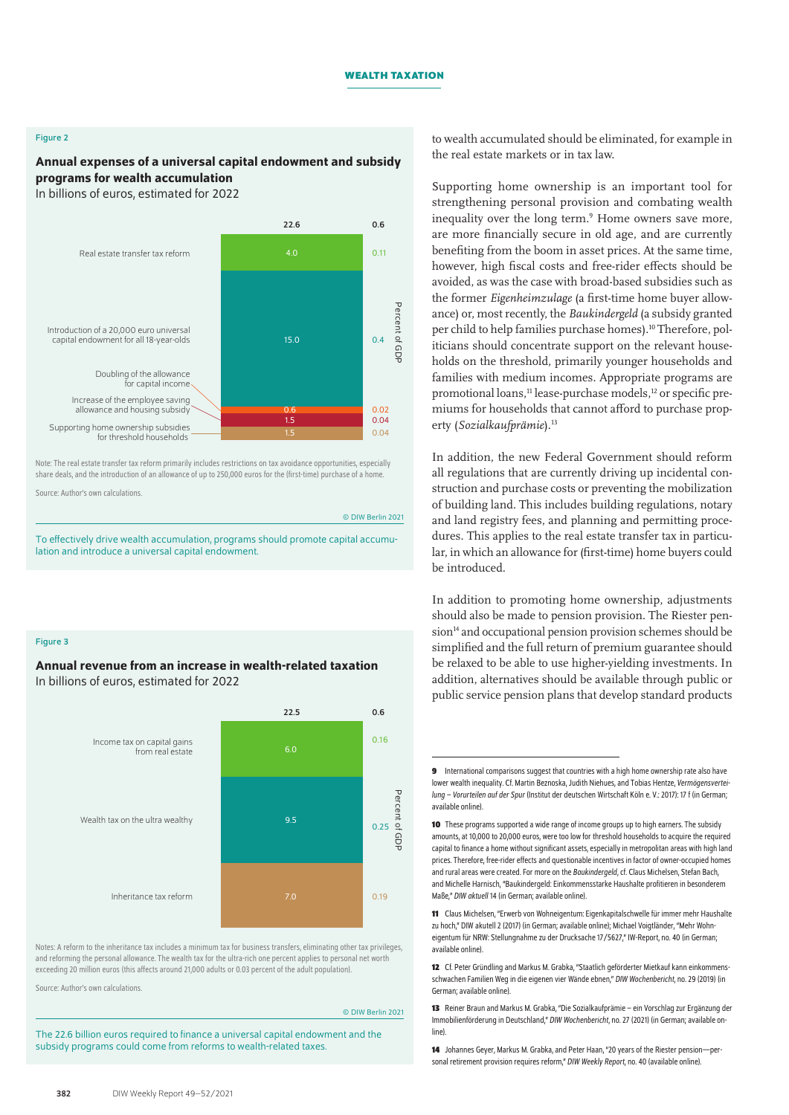### Figure 2

# Annual expenses of a universal capital endowment and subsidy programs for wealth accumulation

In billions of euros, estimated for 2022



Note: The real estate transfer tax reform primarily includes restrictions on tax avoidance opportunities, especially share deals, and the introduction of an allowance of up to 250,000 euros for the (first-time) purchase of a home.

Source: Author's own calculations.

© DIW Berlin 2021

To effectively drive wealth accumulation, programs should promote capital accumulation and introduce a universal capital endowment.

#### Figure 3

# Annual revenue from an increase in wealth-related taxation In billions of euros, estimated for 2022



Notes: A reform to the inheritance tax includes a minimum tax for business transfers, eliminating other tax privileges, and reforming the personal allowance. The wealth tax for the ultra-rich one percent applies to personal net worth exceeding 20 million euros (this affects around 21,000 adults or 0.03 percent of the adult population).

Source: Author's own calculations.

© DIW Berlin 2021

The 22.6 billion euros required to finance a universal capital endowment and the subsidy programs could come from reforms to wealth-related taxes.

to wealth accumulated should be eliminated, for example in the real estate markets or in tax law.

Supporting home ownership is an important tool for strengthening personal provision and combating wealth inequality over the long term.<sup>9</sup> Home owners save more, are more financially secure in old age, and are currently benefiting from the boom in asset prices. At the same time, however, high fiscal costs and free-rider effects should be avoided, as was the case with broad-based subsidies such as the former *Eigenheimzulage* (a first-time home buyer allowance) or, most recently, the *Baukindergeld* (a subsidy granted per child to help families purchase homes).10 Therefore, politicians should concentrate support on the relevant households on the threshold, primarily younger households and families with medium incomes. Appropriate programs are promotional loans,<sup>11</sup> lease-purchase models,<sup>12</sup> or specific premiums for households that cannot afford to purchase property (*Sozialkaufprämie*).13

In addition, the new Federal Government should reform all regulations that are currently driving up incidental construction and purchase costs or preventing the mobilization of building land. This includes building regulations, notary and land registry fees, and planning and permitting procedures. This applies to the real estate transfer tax in particular, in which an allowance for (first-time) home buyers could be introduced.

In addition to promoting home ownership, adjustments should also be made to pension provision. The Riester pen $s$ ion<sup>14</sup> and occupational pension provision schemes should be simplified and the full return of premium guarantee should be relaxed to be able to use higher-yielding investments. In addition, alternatives should be available through public or public service pension plans that develop standard products

**11** Claus Michelsen, "Erwerb von Wohneigentum: Eigenkapitalschwelle für immer mehr Haushalte zu hoch," DIW akutell2 (2017) (in German; [available online\)](https://www.diw.de/de/diw_01.c.564031.de/publikationen/diw_aktuell/2017_0002/erwerb_von_wohneigentum__eigenkapitalschwelle_fuer_immer_mehr_haushalte_zu_hoch.html%22); Michael Voigtländer, "Mehr Wohneigentum für NRW: Stellungnahme zu der Drucksache 17/5627," IW-Report, no. 40 (in German; [available online](https://www.iwkoeln.de/studien/michael-voigtlaender-mehr-wohneigentum-fuer-nrw.html)).

**12** Cf. Peter Gründling and Markus M. Grabka, "Staatlich geförderter Mietkauf kann einkommensschwachen Familien Weg in die eigenen vier Wände ebnen," *DIW Wochenbericht*, no.29 (2019) (in German; [available online\)](https://www.diw.de/de/diw_01.c.669748.de/publikationen/wochenberichte/2019_29_1/staatlich_gefoerderter_mietkauf_kann_einkommensschwachen_familien_weg_in_die_eigenen_vier_waende_ebnen.html%22).

**13** Reiner Braun and Markus M. Grabka, "Die Sozialkaufprämie – ein Vorschlag zur Ergänzung der Immobilienförderung in Deutschland," *DIW Wochenbericht*, no.27 (2021) (in German; [available on](https://www.diw.de/de/diw_01.c.821141.de/publikationen/wochenberichte/2021_27_5/die_sozialkaufpraemie_____ein_vorschlag_zur_ergaenzung_der_immobilienfoerderung_in_deutschland.html%22)[line](https://www.diw.de/de/diw_01.c.821141.de/publikationen/wochenberichte/2021_27_5/die_sozialkaufpraemie_____ein_vorschlag_zur_ergaenzung_der_immobilienfoerderung_in_deutschland.html%22)).

**14** Johannes Geyer, Markus M. Grabka, and Peter Haan, "20 years of the Riester pension—personal retirement provision requires reform," *DIW Weekly Report*, no. 40 ([available online\)](https://www.diw.de/de/diw_01.c.826263.de/publikationen/weekly_reports/2021_40_1/20_years_of_the_riester_pension___personal_retirement_provision_requires_reform.html).

**<sup>9</sup>** International comparisons suggest that countries with a high home ownership rate also have lower wealth inequality. Cf. Martin Beznoska, Judith Niehues, and Tobias Hentze, *Vermögensverteilung – Vorurteilen auf der Spur* (Institut der deutschen Wirtschaft Köln e. V.: 2017): 17f (in German; [available online](https://www.iwkoeln.de/fileadmin/publikationen/2017/341554/Studie_Vermoegensverteilung_vbw.pdf%22)).

**<sup>10</sup>** These programs supported a wide range of income groups up to high earners. The subsidy amounts, at 10,000 to 20,000 euros, were too low for threshold households to acquire the required capital to finance a home without significant assets, especially in metropolitan areas with high land prices. Therefore, free-rider effects and questionable incentives in factor of owner-occupied homes and rural areas were created. For more on the *Baukindergeld*, cf. Claus Michelsen, Stefan Bach, and Michelle Harnisch, "Baukindergeld: Einkommensstarke Haushalte profitieren in besonderem Maße," *DIW aktuell* 14 (in German; [available online](https://www.diw.de/de/diw_01.c.593685.de/publikatio-nen/diw_aktuell/2018_0014/baukindergeld__einkommensstar-ke_haushalte_profitieren_in_besonderem_masse.html%22)).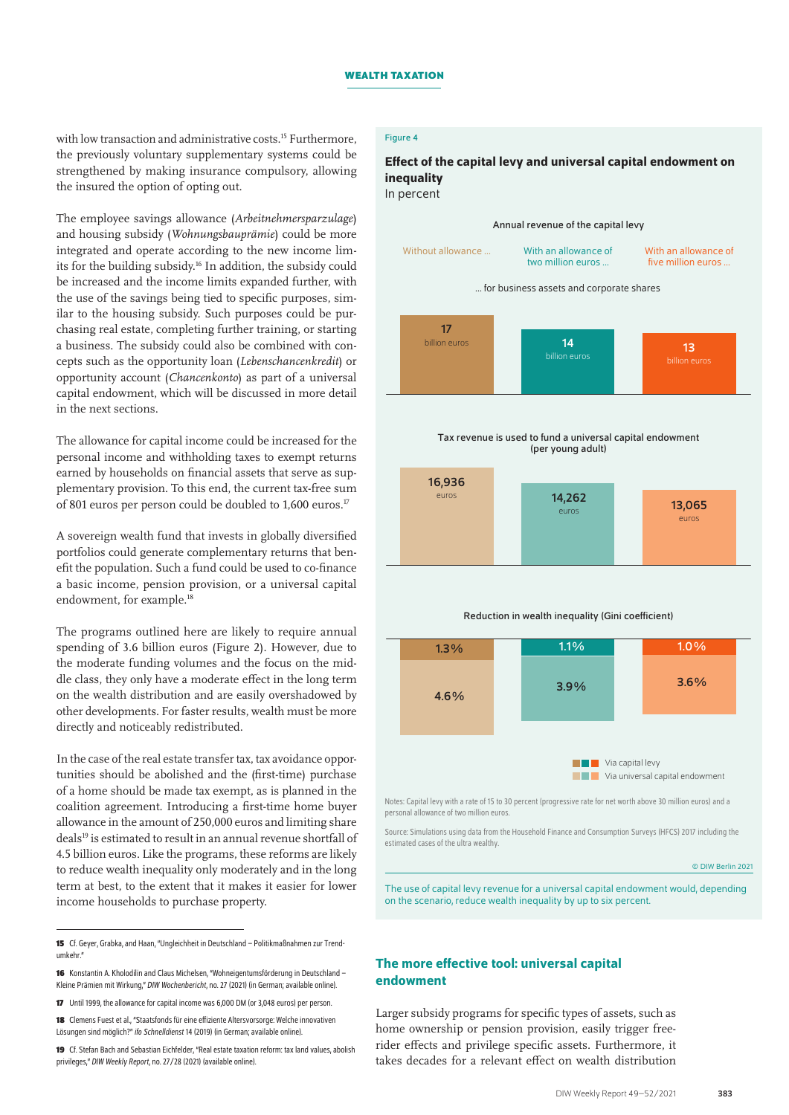with low transaction and administrative costs.<sup>15</sup> Furthermore, the previously voluntary supplementary systems could be strengthened by making insurance compulsory, allowing the insured the option of opting out.

The employee savings allowance (*Arbeitnehmersparzulage*) and housing subsidy (*Wohnungsbauprämie*) could be more integrated and operate according to the new income limits for the building subsidy.16 In addition, the subsidy could be increased and the income limits expanded further, with the use of the savings being tied to specific purposes, similar to the housing subsidy. Such purposes could be purchasing real estate, completing further training, or starting a business. The subsidy could also be combined with concepts such as the opportunity loan (*Lebenschancenkredit*) or opportunity account (*Chancenkonto*) as part of a universal capital endowment, which will be discussed in more detail in the next sections.

The allowance for capital income could be increased for the personal income and withholding taxes to exempt returns earned by households on financial assets that serve as supplementary provision. To this end, the current tax-free sum of 801 euros per person could be doubled to 1,600 euros.17

A sovereign wealth fund that invests in globally diversified portfolios could generate complementary returns that benefit the population. Such a fund could be used to co-finance a basic income, pension provision, or a universal capital endowment, for example.<sup>18</sup>

The programs outlined here are likely to require annual spending of 3.6 billion euros (Figure 2). However, due to the moderate funding volumes and the focus on the middle class, they only have a moderate effect in the long term on the wealth distribution and are easily overshadowed by other developments. For faster results, wealth must be more directly and noticeably redistributed.

In the case of the real estate transfer tax, tax avoidance opportunities should be abolished and the (first-time) purchase of a home should be made tax exempt, as is planned in the coalition agreement. Introducing a first-time home buyer allowance in the amount of 250,000 euros and limiting share deals19 is estimated to result in an annual revenue shortfall of 4.5 billion euros. Like the programs, these reforms are likely to reduce wealth inequality only moderately and in the long term at best, to the extent that it makes it easier for lower income households to purchase property.

**19** Cf. Stefan Bach and Sebastian Eichfelder, "Real estate taxation reform: tax land values, abolish privileges," *DIW Weekly Report*, no.27/28 (2021) ([available online\)](https://www.diw.de/de/diw_01.c.821548.de/publikationen/weekly_reports/2021_27_1/real_estate_taxation_reform__tax_land_values__abolish_privileges.html).

# Figure 4

# Effect of the capital levy and universal capital endowment on inequality In percent

17 billion euros 14 13 Without allowance … With an allowance of two million euros … With an allowance of five million euros … 16,936 euros Annual revenue of the capital levy Tax revenue is used to fund a universal capital endowment (per young adult) 14,262  $\frac{4}{5}$ 202 euros … for business assets and corporate shares

#### Reduction in wealth inequality (Gini coefficient)



Notes: Capital levy with a rate of 15 to 30 percent (progressive rate for net worth above 30 million euros) and a personal allowance of two million euros.

Source: Simulations using data from the Household Finance and Consumption Surveys (HFCS) 2017 including the estimated cases of the ultra wealthy.

© DIW Berlin 2021

The use of capital levy revenue for a universal capital endowment would, depending on the scenario, reduce wealth inequality by up to six percent.

# The more effective tool: universal capital endowment

Larger subsidy programs for specific types of assets, such as home ownership or pension provision, easily trigger freerider effects and privilege specific assets. Furthermore, it takes decades for a relevant effect on wealth distribution

**<sup>15</sup>** Cf. Geyer, Grabka, and Haan, "Ungleichheit in Deutschland – Politikmaßnahmen zur Trendumkehr."

**<sup>16</sup>** Konstantin A. Kholodilin and Claus Michelsen, "Wohneigentumsförderung in Deutschland – Kleine Prämien mit Wirkung," *DIW Wochenbericht*, no.27 (2021) (in German; [available online\)](https://www.diw.de/de/diw_01.c.821137.de/publikationen/wochenberichte/2021_27_4/wohneigentumsfoerderung_in_deutschland_____kleine_praemien_mit_wirkung.html%22).

**<sup>17</sup>** Until 1999, the allowance for capital income was 6,000 DM (or 3,048 euros) per person.

**<sup>18</sup>** Clemens Fuest et al., "Staatsfonds für eine effiziente Altersvorsorge: Welche innovativen Lösungen sind möglich?" *ifo Schnelldienst* 14 (2019) (in German; [available online\)](https://www.ifo.de/publikationen/2019/aufsatz-zeitschrift/staatsfonds-fuer-eine-effiziente-altersvorsorge%22).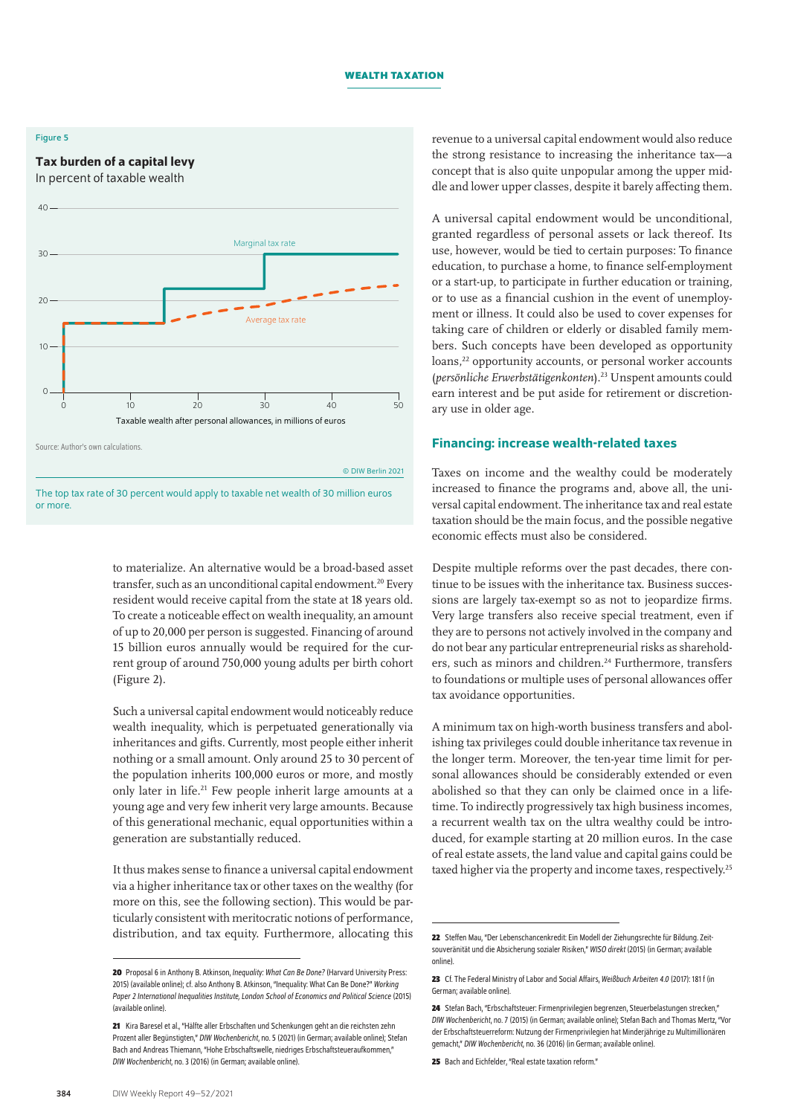### Figure 5

# Tax burden of a capital levy In percent of taxable wealth





© DIW Berlin 2021

The top tax rate of 30 percent would apply to taxable net wealth of 30 million euros or more.

to materialize. An alternative would be a broad-based asset transfer, such as an unconditional capital endowment.<sup>20</sup> Every resident would receive capital from the state at 18 years old. To create a noticeable effect on wealth inequality, an amount of up to 20,000 per person is suggested. Financing of around 15 billion euros annually would be required for the current group of around 750,000 young adults per birth cohort (Figure 2).

Such a universal capital endowment would noticeably reduce wealth inequality, which is perpetuated generationally via inheritances and gifts. Currently, most people either inherit nothing or a small amount. Only around 25 to 30 percent of the population inherits 100,000 euros or more, and mostly only later in life.21 Few people inherit large amounts at a young age and very few inherit very large amounts. Because of this generational mechanic, equal opportunities within a generation are substantially reduced.

It thus makes sense to finance a universal capital endowment via a higher inheritance tax or other taxes on the wealthy (for more on this, see the following section). This would be particularly consistent with meritocratic notions of performance, distribution, and tax equity. Furthermore, allocating this revenue to a universal capital endowment would also reduce the strong resistance to increasing the inheritance tax—a concept that is also quite unpopular among the upper middle and lower upper classes, despite it barely affecting them.

A universal capital endowment would be unconditional, granted regardless of personal assets or lack thereof. Its use, however, would be tied to certain purposes: To finance education, to purchase a home, to finance self-employment or a start-up, to participate in further education or training, or to use as a financial cushion in the event of unemployment or illness. It could also be used to cover expenses for taking care of children or elderly or disabled family members. Such concepts have been developed as opportunity loans,<sup>22</sup> opportunity accounts, or personal worker accounts (*persönliche Erwerbstätigenkonten*).23 Unspent amounts could earn interest and be put aside for retirement or discretionary use in older age.

# Financing: increase wealth-related taxes

Taxes on income and the wealthy could be moderately increased to finance the programs and, above all, the universal capital endowment. The inheritance tax and real estate taxation should be the main focus, and the possible negative economic effects must also be considered.

Despite multiple reforms over the past decades, there continue to be issues with the inheritance tax. Business successions are largely tax-exempt so as not to jeopardize firms. Very large transfers also receive special treatment, even if they are to persons not actively involved in the company and do not bear any particular entrepreneurial risks as shareholders, such as minors and children.<sup>24</sup> Furthermore, transfers to foundations or multiple uses of personal allowances offer tax avoidance opportunities.

A minimum tax on high-worth business transfers and abolishing tax privileges could double inheritance tax revenue in the longer term. Moreover, the ten-year time limit for personal allowances should be considerably extended or even abolished so that they can only be claimed once in a lifetime. To indirectly progressively tax high business incomes, a recurrent wealth tax on the ultra wealthy could be introduced, for example starting at 20 million euros. In the case of real estate assets, the land value and capital gains could be taxed higher via the property and income taxes, respectively.<sup>25</sup>

**<sup>20</sup>** Proposal 6 in Anthony B. Atkinson, *Inequality: What Can Be Done?* (Harvard University Press: 2015) [\(available online](https://www.tony-atkinson.com/the-15-proposals-from-tony-atkinsons-inequality-what-can-be-done/)); cf. also Anthony B. Atkinson, "Inequality: What Can Be Done?" *Working Paper 2 International Inequalities Institute, London School of Economics and Political Science* (2015) ([available online\)](http://eprints.lse.ac.uk/101810/1/Atkinson_inequality_what_can_be_done_wp2.pdf).

**<sup>21</sup>** Kira Baresel etal., "Hälfte aller Erbschaften und Schenkungen geht an die reichsten zehn Prozent aller Begünstigten," *DIW Wochenbericht*, no. 5 (2021) (in German; [available online\)](https://www.diw.de/de/diw_01.c.809832.de/publikationen/wochenberichte/2021_05_1/haelfte_aller_erbschaften_und_schenkungen_geht_an_die_reichsten_zehn_prozent_aller_beguenstigten.html%22); Stefan Bach and Andreas Thiemann, "Hohe Erbschaftswelle, niedriges Erbschaftsteueraufkommen," *DIW Wochenbericht*, no.3 (2016) (in German; [available online](https://www.diw.de/de/diw_01.c.524604.de/publikationen/wochenberichte/2016_03_1/hohe_erbschaftswelle__niedriges_erbschaftsteueraufkommen.html%22)).

**<sup>22</sup>** Steffen Mau, "Der Lebenschancenkredit: Ein Modell der Ziehungsrechte für Bildung. Zeitsouveränität und die Absicherung sozialer Risiken," *WISO direkt* (2015) (in German; [available](https://library.fes.de/pdf-files/wiso/11658.pdf%22)  [online](https://library.fes.de/pdf-files/wiso/11658.pdf%22)).

**<sup>23</sup>** Cf. The Federal Ministry of Labor and Social Affairs, *Weißbuch Arbeiten 4.0* (2017): 181 f (in German; [available online\)](https://www.bmas.de/SharedDocs/Downloads/DE/Publikationen/a883-weissbuch.pdf).

**<sup>24</sup>** Stefan Bach, "Erbschaftsteuer: Firmenprivilegien begrenzen, Steuerbelastungen strecken," *DIW Wochenbericht*, no.7 (2015) (in German; [available online](https://www.diw.de/documents/publikationen/73/diw_01.c.496880.de/15-7.pdf%22)); Stefan Bach and Thomas Mertz, "Vor der Erbschaftsteuerreform: Nutzung der Firmenprivilegien hat Minderjährige zu Multimillionären gemacht," *DIW Wochenbericht*, no.36 (2016) (in German; [available online\)](https://www.diw.de/documents/publikationen/73/diw_01.c.542137.de/16-36-4.pdf%22).

<sup>25</sup> Bach and Eichfelder, "Real estate taxation reform."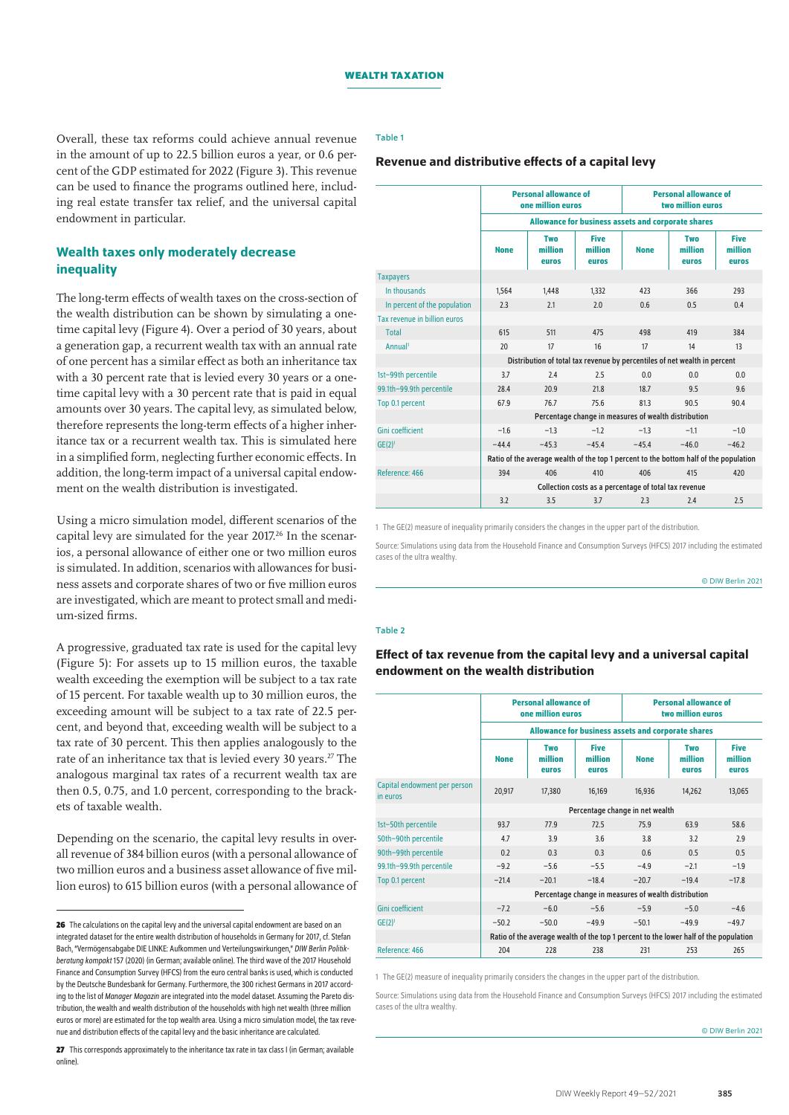#### Table 1

# Revenue and distributive effects of a capital levy

Overall, these tax reforms could achieve annual revenue in the amount of up to 22.5 billion euros a year, or 0.6 percent of the GDP estimated for 2022 (Figure 3). This revenue can be used to finance the programs outlined here, including real estate transfer tax relief, and the universal capital endowment in particular.

# Wealth taxes only moderately decrease inequality

The long-term effects of wealth taxes on the cross-section of the wealth distribution can be shown by simulating a onetime capital levy (Figure 4). Over a period of 30 years, about a generation gap, a recurrent wealth tax with an annual rate of one percent has a similar effect as both an inheritance tax with a 30 percent rate that is levied every 30 years or a onetime capital levy with a 30 percent rate that is paid in equal amounts over 30 years. The capital levy, as simulated below, therefore represents the long-term effects of a higher inheritance tax or a recurrent wealth tax. This is simulated here in a simplified form, neglecting further economic effects. In addition, the long-term impact of a universal capital endowment on the wealth distribution is investigated.

Using a micro simulation model, different scenarios of the capital levy are simulated for the year 2017.<sup>26</sup> In the scenarios, a personal allowance of either one or two million euros is simulated. In addition, scenarios with allowances for business assets and corporate shares of two or five million euros are investigated, which are meant to protect small and medium-sized firms.

A progressive, graduated tax rate is used for the capital levy (Figure 5): For assets up to 15 million euros, the taxable wealth exceeding the exemption will be subject to a tax rate of 15 percent. For taxable wealth up to 30 million euros, the exceeding amount will be subject to a tax rate of 22.5 percent, and beyond that, exceeding wealth will be subject to a tax rate of 30 percent. This then applies analogously to the rate of an inheritance tax that is levied every 30 years.<sup>27</sup> The analogous marginal tax rates of a recurrent wealth tax are then 0.5, 0.75, and 1.0 percent, corresponding to the brackets of taxable wealth.

Depending on the scenario, the capital levy results in overall revenue of 384 billion euros (with a personal allowance of two million euros and a business asset allowance of five million euros) to 615 billion euros (with a personal allowance of

|                              | <b>Personal allowance of</b><br>one million euros                                     |                         |                                 | <b>Personal allowance of</b><br>two million euros |                         |                                 |  |  |
|------------------------------|---------------------------------------------------------------------------------------|-------------------------|---------------------------------|---------------------------------------------------|-------------------------|---------------------------------|--|--|
|                              | Allowance for business assets and corporate shares                                    |                         |                                 |                                                   |                         |                                 |  |  |
|                              | <b>None</b>                                                                           | Two<br>million<br>euros | <b>Five</b><br>million<br>euros | <b>None</b>                                       | Two<br>million<br>euros | <b>Five</b><br>million<br>euros |  |  |
| <b>Taxpayers</b>             |                                                                                       |                         |                                 |                                                   |                         |                                 |  |  |
| In thousands                 | 1.564                                                                                 | 1.448                   | 1,332                           | 423                                               | 366                     | 293                             |  |  |
| In percent of the population | 2.3                                                                                   | 2.1                     | 2.0                             | 0.6                                               | 0.5                     | 0.4                             |  |  |
| Tax revenue in billion euros |                                                                                       |                         |                                 |                                                   |                         |                                 |  |  |
| <b>Total</b>                 | 615                                                                                   | 511                     | 475                             | 498                                               | 419                     | 384                             |  |  |
| Annual <sup>1</sup>          | 20                                                                                    | 17                      | 16                              | 17                                                | 14                      | 13                              |  |  |
|                              | Distribution of total tax revenue by percentiles of net wealth in percent             |                         |                                 |                                                   |                         |                                 |  |  |
| 1st-99th percentile          | 3.7                                                                                   | 2.4                     | 2.5                             | 0.0                                               | 0.0                     | 0.0                             |  |  |
| 99.1th-99.9th percentile     | 28.4                                                                                  | 20.9                    | 21.8                            | 18.7                                              | 9.5                     | 9.6                             |  |  |
| Top 0.1 percent              | 67.9                                                                                  | 76.7                    | 75.6                            | 81.3                                              | 90.5                    | 90.4                            |  |  |
|                              | Percentage change in measures of wealth distribution                                  |                         |                                 |                                                   |                         |                                 |  |  |
| <b>Gini coefficient</b>      | $-1.6$                                                                                | $-1.3$                  | $-1.2$                          | $-1.3$                                            | $-1.1$                  | $-1.0$                          |  |  |
| $GE(2)^1$                    | $-44.4$                                                                               | $-45.3$                 | $-45.4$                         | $-45.4$                                           | $-46.0$                 | $-46.2$                         |  |  |
|                              | Ratio of the average wealth of the top 1 percent to the bottom half of the population |                         |                                 |                                                   |                         |                                 |  |  |
| Reference: 466               | 394                                                                                   | 406                     | 410                             | 406                                               | 415                     | 420                             |  |  |
|                              | Collection costs as a percentage of total tax revenue                                 |                         |                                 |                                                   |                         |                                 |  |  |
|                              | 3.2                                                                                   | 3.5                     | 3.7                             | 2.3                                               | 2.4                     | 2.5                             |  |  |

1 The GE(2) measure of inequality primarily considers the changes in the upper part of the distribution.

Source: Simulations using data from the Household Finance and Consumption Surveys (HFCS) 2017 including the estimated cases of the ultra wealthy.

© DIW Berlin 2021

#### Table 2

Effect of tax revenue from the capital levy and a universal capital endowment on the wealth distribution

|                                          | <b>Personal allowance of</b><br>one million euros                                    |                         |                                 | <b>Personal allowance of</b><br>two million euros |                         |                                 |  |  |  |
|------------------------------------------|--------------------------------------------------------------------------------------|-------------------------|---------------------------------|---------------------------------------------------|-------------------------|---------------------------------|--|--|--|
|                                          | <b>Allowance for business assets and corporate shares</b>                            |                         |                                 |                                                   |                         |                                 |  |  |  |
|                                          | <b>None</b>                                                                          | Two<br>million<br>euros | <b>Five</b><br>million<br>euros | <b>None</b>                                       | Two<br>million<br>euros | <b>Five</b><br>million<br>euros |  |  |  |
| Capital endowment per person<br>in euros | 20,917                                                                               | 17,380                  | 16,169                          | 16,936                                            | 14,262                  | 13,065                          |  |  |  |
|                                          | Percentage change in net wealth                                                      |                         |                                 |                                                   |                         |                                 |  |  |  |
| 1st-50th percentile                      | 93.7                                                                                 | 77.9                    | 72.5                            | 75.9                                              | 63.9                    | 58.6                            |  |  |  |
| 50th-90th percentile                     | 4.7                                                                                  | 3.9                     | 3.6                             | 3.8                                               | 3.2                     | 2.9                             |  |  |  |
| 90th-99th percentile                     | 0.2                                                                                  | 0.3                     | 0.3                             | 0.6                                               | 0.5                     | 0.5                             |  |  |  |
| 99.1th-99.9th percentile                 | $-9.2$                                                                               | $-5.6$                  | $-5.5$                          | $-4.9$                                            | $-2.1$                  | $-1.9$                          |  |  |  |
| Top 0.1 percent                          | $-21.4$                                                                              | $-20.1$                 | $-18.4$                         | $-20.7$                                           | $-19.4$                 | $-17.8$                         |  |  |  |
|                                          | Percentage change in measures of wealth distribution                                 |                         |                                 |                                                   |                         |                                 |  |  |  |
| <b>Gini coefficient</b>                  | $-7.2$                                                                               | $-6.0$                  | $-5.6$                          | $-5.9$                                            | $-5.0$                  | $-4.6$                          |  |  |  |
| $GE(2)^1$                                | $-50.2$                                                                              | $-50.0$                 | $-49.9$                         | $-50.1$                                           | $-49.9$                 | $-49.7$                         |  |  |  |
|                                          | Ratio of the average wealth of the top 1 percent to the lower half of the population |                         |                                 |                                                   |                         |                                 |  |  |  |
| Reference: 466                           | 204                                                                                  | 228                     | 238                             | 231                                               | 253                     | 265                             |  |  |  |

1 The GE(2) measure of inequality primarily considers the changes in the upper part of the distribution.

Source: Simulations using data from the Household Finance and Consumption Surveys (HFCS) 2017 including the estimated cases of the ultra wealthy.

© DIW Berlin 2021

**<sup>26</sup>** The calculations on the capital levy and the universal capital endowment are based on an integrated dataset for the entire wealth distribution of households in Germany for 2017, cf. Stefan Bach, "Vermögensabgabe DIE LINKE: Aufkommen und Verteilungswirkungen," *DIW Berlin Politikberatung kompakt* 157 (2020) (in German; [available online\)](https://www.diw.de/de/diw_01.c.801981.de/publikationen/politikberatung_kompakt/2020_0157/vermoegensabgabe_die_linke._aufkommen_und_verteilungswirkung___tion_die_linke._im_bundestag_und_der_rosa-luxemburg-stiftung.html). The third wave of the 2017 Household Finance and Consumption Survey (HFCS) from the euro central banks is used, which is conducted by the Deutsche Bundesbank for Germany. Furthermore, the 300 richest Germans in 2017 according to the list of *Manager Magazin* are integrated into the model dataset. Assuming the Pareto distribution, the wealth and wealth distribution of the households with high net wealth (three million euros or more) are estimated for the top wealth area. Using a micro simulation model, the tax revenue and distribution effects of the capital levy and the basic inheritance are calculated.

<sup>27</sup> This corresponds approximately to the inheritance tax rate in tax class I (in German: available [online\)](https://de.wikipedia.org/wiki/Erbschaftsteuer_in_Deutschland).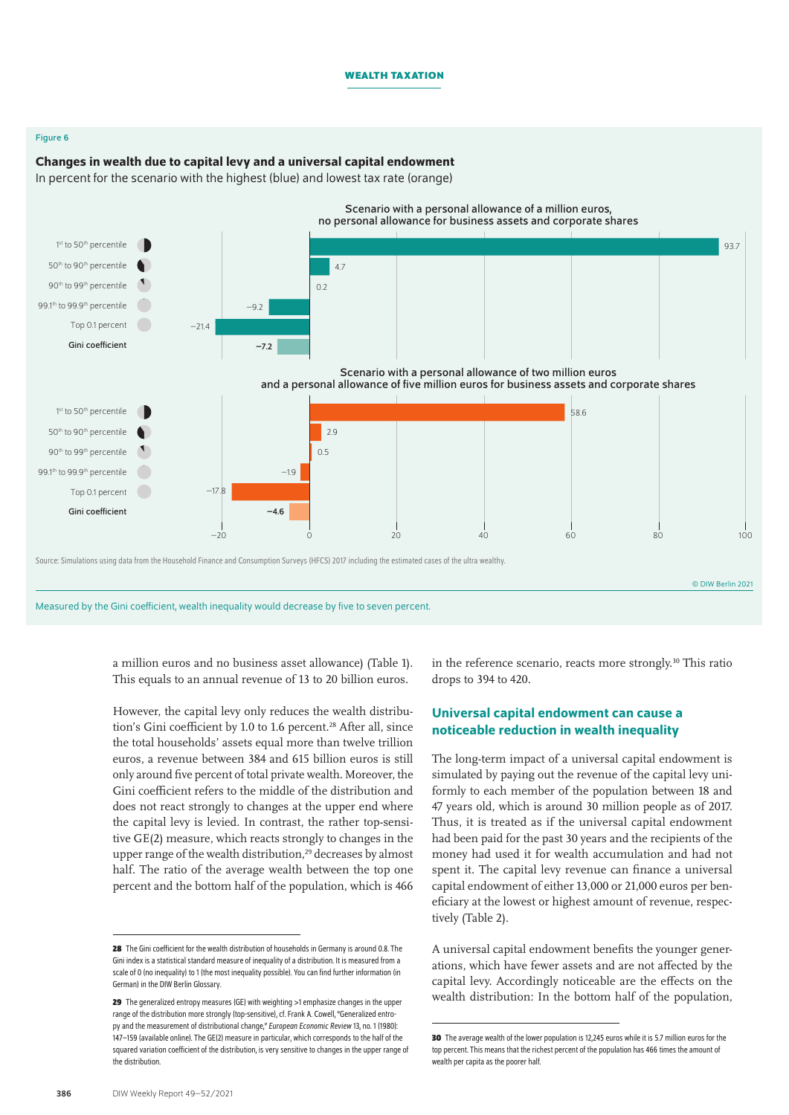### Figure 6

# Changes in wealth due to capital levy and a universal capital endowment

In percent for the scenario with the highest (blue) and lowest tax rate (orange)



Measured by the Gini coefficient, wealth inequality would decrease by five to seven percent.

a million euros and no business asset allowance) (Table 1). This equals to an annual revenue of 13 to 20 billion euros.

However, the capital levy only reduces the wealth distribution's Gini coefficient by 1.0 to 1.6 percent.<sup>28</sup> After all, since the total households' assets equal more than twelve trillion euros, a revenue between 384 and 615 billion euros is still only around five percent of total private wealth. Moreover, the Gini coefficient refers to the middle of the distribution and does not react strongly to changes at the upper end where the capital levy is levied. In contrast, the rather top-sensitive GE(2) measure, which reacts strongly to changes in the upper range of the wealth distribution,<sup>29</sup> decreases by almost half. The ratio of the average wealth between the top one percent and the bottom half of the population, which is 466

in the reference scenario, reacts more strongly.<sup>30</sup> This ratio drops to 394 to 420.

# Universal capital endowment can cause a noticeable reduction in wealth inequality

The long-term impact of a universal capital endowment is simulated by paying out the revenue of the capital levy uniformly to each member of the population between 18 and 47 years old, which is around 30 million people as of 2017. Thus, it is treated as if the universal capital endowment had been paid for the past 30 years and the recipients of the money had used it for wealth accumulation and had not spent it. The capital levy revenue can finance a universal capital endowment of either 13,000 or 21,000 euros per beneficiary at the lowest or highest amount of revenue, respectively (Table 2).

A universal capital endowment benefits the younger generations, which have fewer assets and are not affected by the capital levy. Accordingly noticeable are the effects on the wealth distribution: In the bottom half of the population,

**<sup>28</sup>** The Gini coefficient for the wealth distribution of households in Germany is around 0.8. The Gini index is a statistical standard measure of inequality of a distribution. It is measured from a scale of 0 (no inequality) to 1 (the most inequality possible). You can find further information (in German) in the [DIW Berlin Glossary](https://www.diw.de/de/diw_01.c.413334.de/gini-koeffizient.html).

**<sup>29</sup>** The generalized entropy measures (GE) with weighting >1 emphasize changes in the upper range of the distribution more strongly (top-sensitive), cf. Frank A. Cowell, "Generalized entropy and the measurement of distributional change," *European Economic Review* 13, no. 1 (1980): 147–159 ([available online\)](https://www.sciencedirect.com/science/article/abs/pii/0014292180900513). The GE(2) measure in particular, which corresponds to the half of the squared variation coefficient of the distribution, is very sensitive to changes in the upper range of the distribution.

**<sup>30</sup>** The average wealth of the lower population is 12,245 euros while it is 5.7 million euros for the top percent. This means that the richest percent of the population has 466 times the amount of wealth per capita as the poorer half.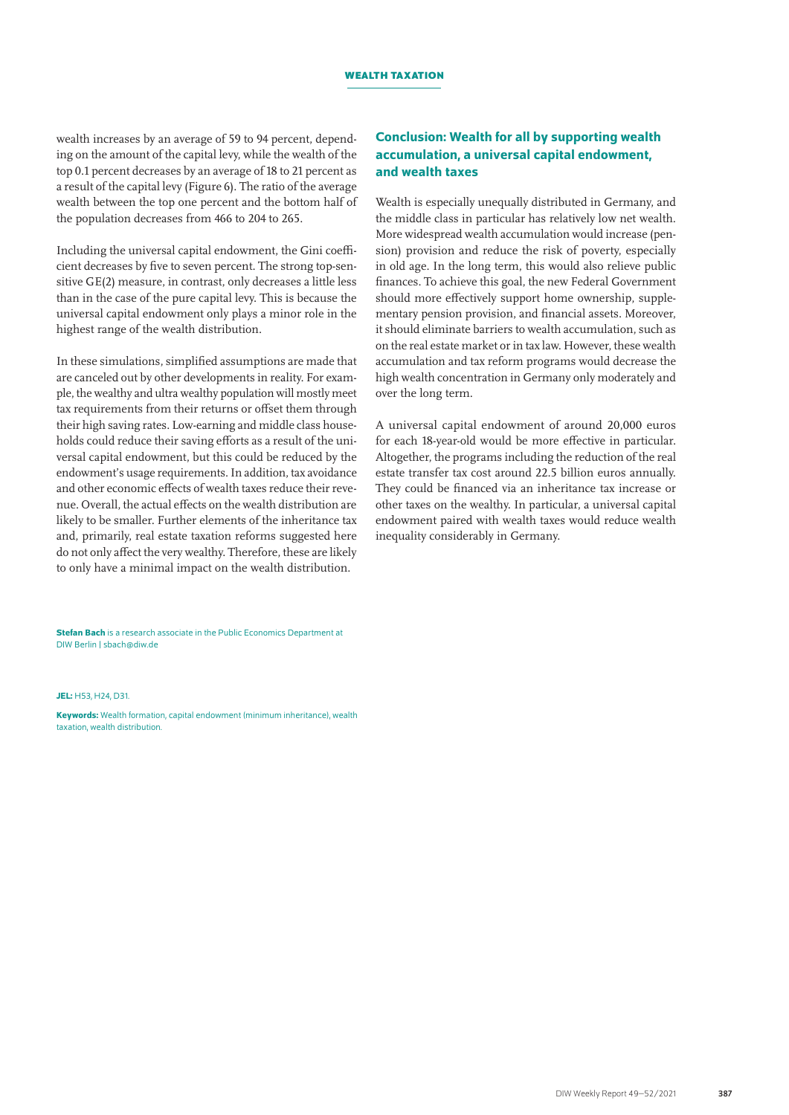wealth increases by an average of 59 to 94 percent, depending on the amount of the capital levy, while the wealth of the top 0.1 percent decreases by an average of 18 to 21 percent as a result of the capital levy (Figure 6). The ratio of the average wealth between the top one percent and the bottom half of the population decreases from 466 to 204 to 265.

Including the universal capital endowment, the Gini coefficient decreases by five to seven percent. The strong top-sensitive GE(2) measure, in contrast, only decreases a little less than in the case of the pure capital levy. This is because the universal capital endowment only plays a minor role in the highest range of the wealth distribution.

In these simulations, simplified assumptions are made that are canceled out by other developments in reality. For example, the wealthy and ultra wealthy population will mostly meet tax requirements from their returns or offset them through their high saving rates. Low-earning and middle class households could reduce their saving efforts as a result of the universal capital endowment, but this could be reduced by the endowment's usage requirements. In addition, tax avoidance and other economic effects of wealth taxes reduce their revenue. Overall, the actual effects on the wealth distribution are likely to be smaller. Further elements of the inheritance tax and, primarily, real estate taxation reforms suggested here do not only affect the very wealthy. Therefore, these are likely to only have a minimal impact on the wealth distribution.

**Stefan Bach** is a research associate in the Public Economics Department at DIW Berlin | [sbach@diw.de](mailto:sbach%40diw.de?subject=)

JEL: H53, H24, D31.

Keywords: Wealth formation, capital endowment (minimum inheritance), wealth taxation, wealth distribution.

# Conclusion: Wealth for all by supporting wealth accumulation, a universal capital endowment, and wealth taxes

Wealth is especially unequally distributed in Germany, and the middle class in particular has relatively low net wealth. More widespread wealth accumulation would increase (pension) provision and reduce the risk of poverty, especially in old age. In the long term, this would also relieve public finances. To achieve this goal, the new Federal Government should more effectively support home ownership, supplementary pension provision, and financial assets. Moreover, it should eliminate barriers to wealth accumulation, such as on the real estate market or in tax law. However, these wealth accumulation and tax reform programs would decrease the high wealth concentration in Germany only moderately and over the long term.

A universal capital endowment of around 20,000 euros for each 18-year-old would be more effective in particular. Altogether, the programs including the reduction of the real estate transfer tax cost around 22.5 billion euros annually. They could be financed via an inheritance tax increase or other taxes on the wealthy. In particular, a universal capital endowment paired with wealth taxes would reduce wealth inequality considerably in Germany.